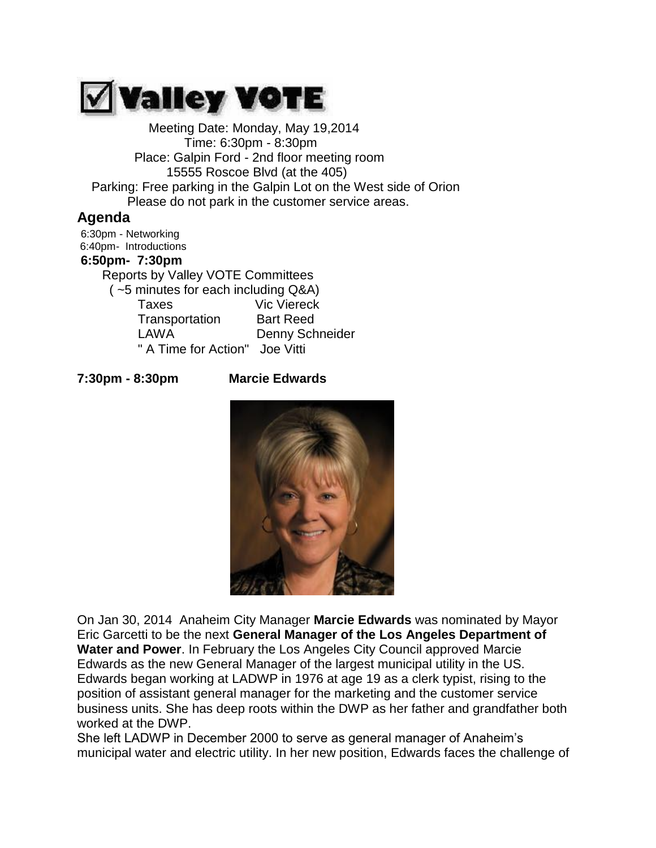

Meeting Date: Monday, May 19,2014 Time: 6:30pm - 8:30pm Place: Galpin Ford - 2nd floor meeting room 15555 Roscoe Blvd (at the 405) Parking: Free parking in the Galpin Lot on the West side of Orion Please do not park in the customer service areas.

## **Agenda**

6:30pm - Networking 6:40pm- Introductions **6:50pm- 7:30pm** Reports by Valley VOTE Committees ( ~5 minutes for each including Q&A) Taxes Vic Viereck Transportation Bart Reed LAWA Denny Schneider " A Time for Action" Joe Vitti

## **7:30pm - 8:30pm Marcie Edwards**



On Jan 30, 2014 Anaheim City Manager **Marcie Edwards** was nominated by Mayor Eric Garcetti to be the next **General Manager of the Los Angeles Department of Water and Power**. In February the Los Angeles City Council approved Marcie Edwards as the new General Manager of the largest municipal utility in the US. Edwards began working at LADWP in 1976 at age 19 as a clerk typist, rising to the position of assistant general manager for the marketing and the customer service business units. She has deep roots within the DWP as her father and grandfather both worked at the DWP.

She left LADWP in December 2000 to serve as general manager of Anaheim's municipal water and electric utility. In her new position, Edwards faces the challenge of